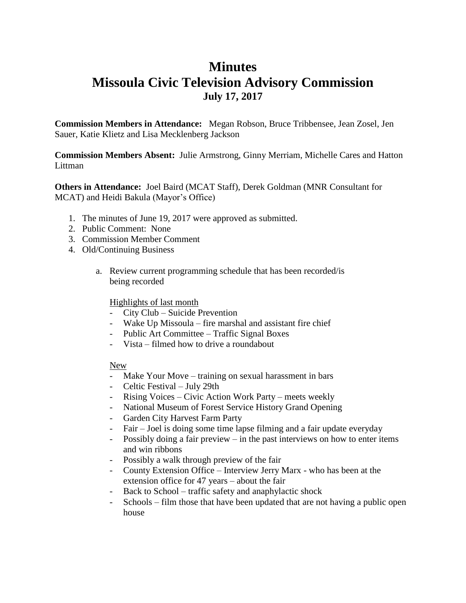## **Minutes Missoula Civic Television Advisory Commission July 17, 2017**

**Commission Members in Attendance:** Megan Robson, Bruce Tribbensee, Jean Zosel, Jen Sauer, Katie Klietz and Lisa Mecklenberg Jackson

**Commission Members Absent:** Julie Armstrong, Ginny Merriam, Michelle Cares and Hatton Littman

**Others in Attendance:** Joel Baird (MCAT Staff), Derek Goldman (MNR Consultant for MCAT) and Heidi Bakula (Mayor's Office)

- 1. The minutes of June 19, 2017 were approved as submitted.
- 2. Public Comment: None
- 3. Commission Member Comment
- 4. Old/Continuing Business
	- a. Review current programming schedule that has been recorded/is being recorded

## Highlights of last month

- City Club Suicide Prevention
- Wake Up Missoula fire marshal and assistant fire chief
- Public Art Committee Traffic Signal Boxes
- Vista filmed how to drive a roundabout

## New

- Make Your Move training on sexual harassment in bars
- Celtic Festival July 29th
- Rising Voices Civic Action Work Party meets weekly
- National Museum of Forest Service History Grand Opening
- Garden City Harvest Farm Party
- Fair Joel is doing some time lapse filming and a fair update everyday
- Possibly doing a fair preview in the past interviews on how to enter items and win ribbons
- Possibly a walk through preview of the fair
- County Extension Office Interview Jerry Marx who has been at the extension office for 47 years – about the fair
- Back to School traffic safety and anaphylactic shock
- Schools film those that have been updated that are not having a public open house